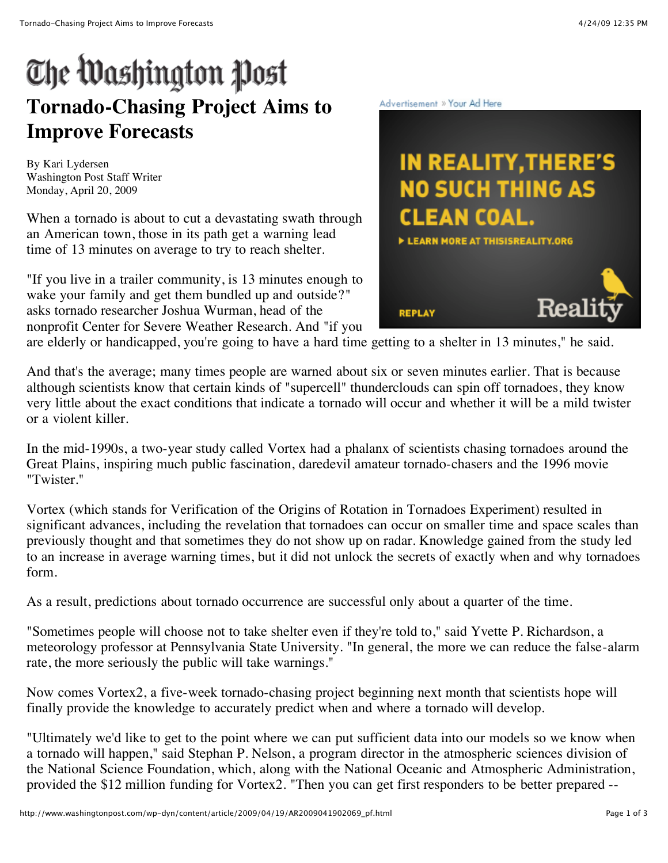## The Washington Post **Tornado-Chasing Project Aims to Improve Forecasts**

By Kari Lydersen Washington Post Staff Writer Monday, April 20, 2009

When a tornado is about to cut a devastating swath through an American town, those in its path get a warning lead time of 13 minutes on average to try to reach shelter.

"If you live in a trailer community, is 13 minutes enough to wake your family and get them bundled up and outside?" asks tornado researcher Joshua Wurman, head of the nonprofit Center for Severe Weather Research. And "if you



are elderly or handicapped, you're going to have a hard time getting to a shelter in 13 minutes," he said.

And that's the average; many times people are warned about six or seven minutes earlier. That is because although scientists know that certain kinds of "supercell" thunderclouds can spin off tornadoes, they know very little about the exact conditions that indicate a tornado will occur and whether it will be a mild twister or a violent killer.

In the mid-1990s, a two-year study called Vortex had a phalanx of scientists chasing tornadoes around the Great Plains, inspiring much public fascination, daredevil amateur tornado-chasers and the 1996 movie "Twister."

Vortex (which stands for Verification of the Origins of Rotation in Tornadoes Experiment) resulted in significant advances, including the revelation that tornadoes can occur on smaller time and space scales than previously thought and that sometimes they do not show up on radar. Knowledge gained from the study led to an increase in average warning times, but it did not unlock the secrets of exactly when and why tornadoes form.

As a result, predictions about tornado occurrence are successful only about a quarter of the time.

"Sometimes people will choose not to take shelter even if they're told to," said Yvette P. Richardson, a meteorology professor at Pennsylvania State University. "In general, the more we can reduce the false-alarm rate, the more seriously the public will take warnings."

Now comes Vortex2, a five-week tornado-chasing project beginning next month that scientists hope will finally provide the knowledge to accurately predict when and where a tornado will develop.

"Ultimately we'd like to get to the point where we can put sufficient data into our models so we know when a tornado will happen," said Stephan P. Nelson, a program director in the atmospheric sciences division of the National Science Foundation, which, along with the National Oceanic and Atmospheric Administration, provided the \$12 million funding for Vortex2. "Then you can get first responders to be better prepared --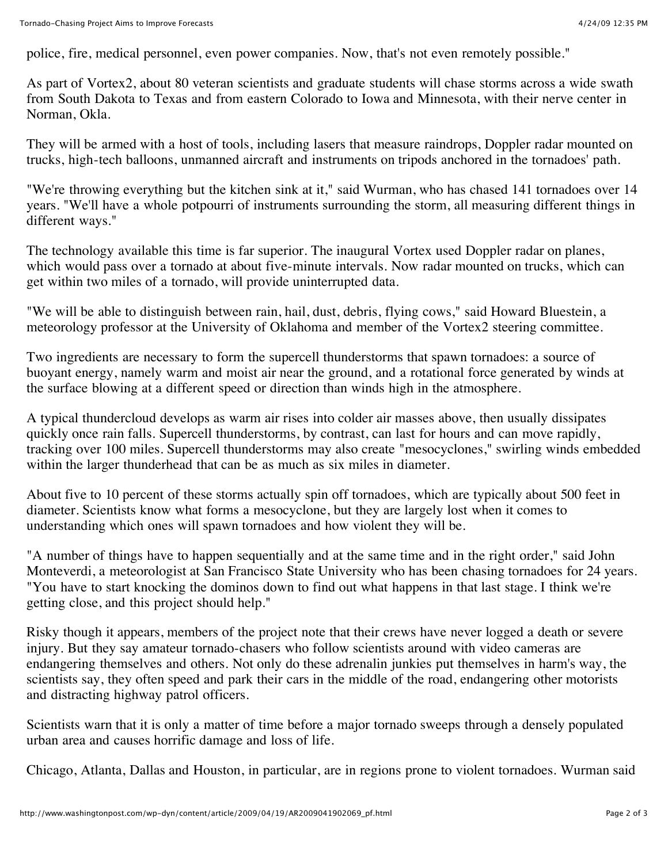police, fire, medical personnel, even power companies. Now, that's not even remotely possible."

As part of Vortex2, about 80 veteran scientists and graduate students will chase storms across a wide swath from South Dakota to Texas and from eastern Colorado to Iowa and Minnesota, with their nerve center in Norman, Okla.

They will be armed with a host of tools, including lasers that measure raindrops, Doppler radar mounted on trucks, high-tech balloons, unmanned aircraft and instruments on tripods anchored in the tornadoes' path.

"We're throwing everything but the kitchen sink at it," said Wurman, who has chased 141 tornadoes over 14 years. "We'll have a whole potpourri of instruments surrounding the storm, all measuring different things in different ways."

The technology available this time is far superior. The inaugural Vortex used Doppler radar on planes, which would pass over a tornado at about five-minute intervals. Now radar mounted on trucks, which can get within two miles of a tornado, will provide uninterrupted data.

"We will be able to distinguish between rain, hail, dust, debris, flying cows," said Howard Bluestein, a meteorology professor at the University of Oklahoma and member of the Vortex2 steering committee.

Two ingredients are necessary to form the supercell thunderstorms that spawn tornadoes: a source of buoyant energy, namely warm and moist air near the ground, and a rotational force generated by winds at the surface blowing at a different speed or direction than winds high in the atmosphere.

A typical thundercloud develops as warm air rises into colder air masses above, then usually dissipates quickly once rain falls. Supercell thunderstorms, by contrast, can last for hours and can move rapidly, tracking over 100 miles. Supercell thunderstorms may also create "mesocyclones," swirling winds embedded within the larger thunderhead that can be as much as six miles in diameter.

About five to 10 percent of these storms actually spin off tornadoes, which are typically about 500 feet in diameter. Scientists know what forms a mesocyclone, but they are largely lost when it comes to understanding which ones will spawn tornadoes and how violent they will be.

"A number of things have to happen sequentially and at the same time and in the right order," said John Monteverdi, a meteorologist at San Francisco State University who has been chasing tornadoes for 24 years. "You have to start knocking the dominos down to find out what happens in that last stage. I think we're getting close, and this project should help."

Risky though it appears, members of the project note that their crews have never logged a death or severe injury. But they say amateur tornado-chasers who follow scientists around with video cameras are endangering themselves and others. Not only do these adrenalin junkies put themselves in harm's way, the scientists say, they often speed and park their cars in the middle of the road, endangering other motorists and distracting highway patrol officers.

Scientists warn that it is only a matter of time before a major tornado sweeps through a densely populated urban area and causes horrific damage and loss of life.

Chicago, Atlanta, Dallas and Houston, in particular, are in regions prone to violent tornadoes. Wurman said